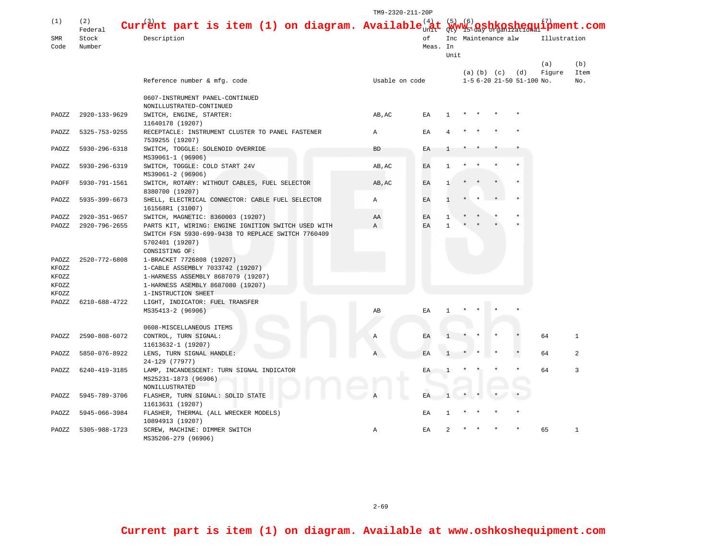|                |                |                                                                  | TM9-2320-211-20P |                                                        |                |                     |  |                         |                           |              |      |  |
|----------------|----------------|------------------------------------------------------------------|------------------|--------------------------------------------------------|----------------|---------------------|--|-------------------------|---------------------------|--------------|------|--|
| (1)            | (2)<br>Federal | Current part is item (1) on diagram. Available $_{n}^{(4)}$      |                  | <u>(6)</u><br>$\mathbf{1}_{\mathbf{D}}^{(7)}$ ment.com |                |                     |  |                         |                           |              |      |  |
| SMR            | Stock          | Description                                                      | оf<br>Meas. In   |                                                        |                | Inc Maintenance alw |  |                         |                           | Illustration |      |  |
| Code           | Number         |                                                                  |                  |                                                        |                |                     |  |                         |                           |              |      |  |
|                |                |                                                                  |                  |                                                        | Unit           |                     |  |                         |                           |              |      |  |
|                |                |                                                                  |                  |                                                        |                |                     |  |                         |                           | (a)          | (b)  |  |
|                |                |                                                                  |                  |                                                        |                |                     |  | $(a)$ $(b)$ $(c)$ $(d)$ |                           | Figure       | Item |  |
|                |                | Reference number & mfg. code                                     | Usable on code   |                                                        |                |                     |  |                         | 1-5 6-20 21-50 51-100 No. |              | No.  |  |
|                |                |                                                                  |                  |                                                        |                |                     |  |                         |                           |              |      |  |
|                |                | 0607-INSTRUMENT PANEL-CONTINUED                                  |                  |                                                        |                |                     |  |                         |                           |              |      |  |
|                |                | NONILLUSTRATED-CONTINUED                                         |                  |                                                        |                |                     |  |                         |                           |              |      |  |
| PAOZZ          | 2920-133-9629  | SWITCH, ENGINE, STARTER:                                         | AB, AC           | ΕA                                                     | 1              |                     |  |                         |                           |              |      |  |
|                |                | 11640178 (19207)                                                 |                  |                                                        |                |                     |  |                         |                           |              |      |  |
| PAOZZ          | 5325-753-9255  | RECEPTACLE: INSTRUMENT CLUSTER TO PANEL FASTENER                 | A                | EA                                                     |                |                     |  |                         |                           |              |      |  |
|                |                | 7539255 (19207)                                                  |                  |                                                        |                |                     |  |                         |                           |              |      |  |
| PAOZZ          | 5930-296-6318  | SWITCH, TOGGLE: SOLENOID OVERRIDE                                | <b>BD</b>        | ΕA                                                     | п.             |                     |  |                         |                           |              |      |  |
|                |                | MS39061-1 (96906)                                                |                  |                                                        |                |                     |  |                         |                           |              |      |  |
| PAOZZ          | 5930-296-6319  | SWITCH, TOGGLE: COLD START 24V                                   | AB, AC           | EA                                                     | -1             |                     |  |                         |                           |              |      |  |
|                |                | MS39061-2 (96906)                                                |                  |                                                        |                |                     |  |                         |                           |              |      |  |
| PAOFF          | 5930-791-1561  | SWITCH, ROTARY: WITHOUT CABLES, FUEL SELECTOR<br>8380700 (19207) | AB, AC           | EA                                                     |                |                     |  |                         |                           |              |      |  |
| PAOZZ          | 5935-399-6673  | SHELL, ELECTRICAL CONNECTOR: CABLE FUEL SELECTOR                 | Α                | EA                                                     | 1              |                     |  |                         |                           |              |      |  |
|                |                | 161568R1 (31007)                                                 |                  |                                                        |                |                     |  |                         |                           |              |      |  |
| PAOZZ          | 2920-351-9657  | SWITCH, MAGNETIC: 8360003 (19207)                                | AA               | EA                                                     | -1             |                     |  |                         |                           |              |      |  |
| PAOZZ          | 2920-796-2655  | PARTS KIT, WIRING: ENGINE IGNITION SWITCH USED WITH              | Α                | EA                                                     | $\mathbf{1}$   |                     |  |                         |                           |              |      |  |
|                |                | SWITCH FSN 5930-699-9438 TO REPLACE SWITCH 7760409               |                  |                                                        |                |                     |  |                         |                           |              |      |  |
|                |                | 5702401 (19207)                                                  |                  |                                                        |                |                     |  |                         |                           |              |      |  |
|                |                | CONSISTING OF:                                                   |                  |                                                        |                |                     |  |                         |                           |              |      |  |
| PAOZZ          | 2520-772-6808  | 1-BRACKET 7726808 (19207)                                        |                  |                                                        |                |                     |  |                         |                           |              |      |  |
| KFOZZ          |                | 1-CABLE ASSEMBLY 7033742 (19207)                                 |                  |                                                        |                |                     |  |                         |                           |              |      |  |
| KFOZZ          |                | 1-HARNESS ASSEMBLY 8687079 (19207)                               |                  |                                                        |                |                     |  |                         |                           |              |      |  |
| KFOZZ          |                | 1-HARNESS ASEMBLY 8687080 (19207)                                |                  |                                                        |                |                     |  |                         |                           |              |      |  |
| KFOZZ<br>PAOZZ | 6210-688-4722  | 1-INSTRUCTION SHEET                                              |                  |                                                        |                |                     |  |                         |                           |              |      |  |
|                |                | LIGHT, INDICATOR: FUEL TRANSFER<br>MS35413-2 (96906)             | AB               | ΕA                                                     |                |                     |  |                         |                           |              |      |  |
|                |                |                                                                  |                  |                                                        |                |                     |  |                         |                           |              |      |  |
|                |                | 0608-MISCELLANEOUS ITEMS                                         |                  |                                                        |                |                     |  |                         |                           |              |      |  |
| PAOZZ          | 2590-808-6072  | CONTROL, TURN SIGNAL:                                            | Α                | EA                                                     |                |                     |  |                         |                           | 64           | 1    |  |
|                |                | 11613632-1 (19207)                                               |                  |                                                        |                |                     |  |                         |                           |              |      |  |
| PAOZZ          | 5850-076-8922  | LENS, TURN SIGNAL HANDLE:                                        | A                | EA                                                     |                |                     |  |                         |                           | 64           | 2    |  |
|                |                | 24-129 (77977)                                                   |                  |                                                        |                |                     |  |                         |                           |              |      |  |
| PAOZZ          | 6240-419-3185  | LAMP, INCANDESCENT: TURN SIGNAL INDICATOR                        |                  | ΕA                                                     |                |                     |  |                         |                           | 64           | 3    |  |
|                |                | MS25231-1873 (96906)                                             |                  |                                                        |                |                     |  |                         |                           |              |      |  |
|                |                | NONILLUSTRATED                                                   |                  |                                                        |                |                     |  |                         |                           |              |      |  |
| PAOZZ          | 5945-789-3706  | FLASHER, TURN SIGNAL: SOLID STATE                                |                  |                                                        |                |                     |  |                         |                           |              |      |  |
|                |                | 11613631 (19207)                                                 |                  |                                                        |                |                     |  |                         |                           |              |      |  |
| PAOZZ          | 5945-066-3984  | FLASHER, THERMAL (ALL WRECKER MODELS)                            |                  | EA                                                     |                |                     |  |                         |                           |              |      |  |
|                |                | 10894913 (19207)                                                 |                  |                                                        |                |                     |  |                         |                           |              |      |  |
| PAOZZ          | 5305-988-1723  | SCREW, MACHINE: DIMMER SWITCH                                    | Α                | EA                                                     | $\mathfrak{D}$ |                     |  |                         |                           | 65           | 1    |  |
|                |                | MS35206-279 (96906)                                              |                  |                                                        |                |                     |  |                         |                           |              |      |  |

2-69